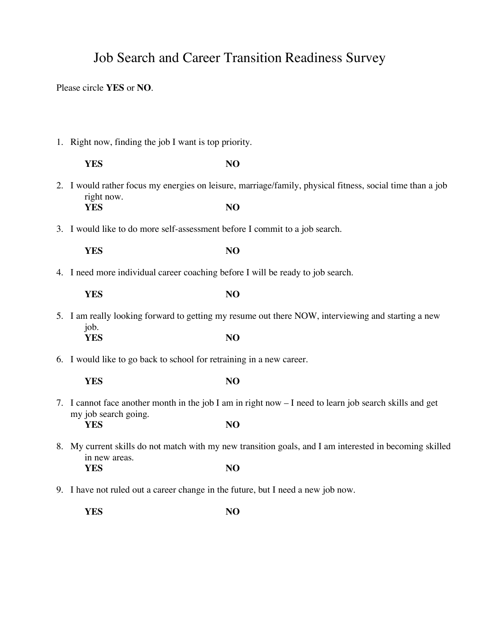## Job Search and Career Transition Readiness Survey

Please circle **YES** or **NO**.

1. Right now, finding the job I want is top priority.

|                                                                             | <b>YES</b>                                                                                              | N <sub>O</sub>                                                                                            |
|-----------------------------------------------------------------------------|---------------------------------------------------------------------------------------------------------|-----------------------------------------------------------------------------------------------------------|
|                                                                             | right now.                                                                                              | 2. I would rather focus my energies on leisure, marriage/family, physical fitness, social time than a job |
|                                                                             | <b>YES</b>                                                                                              | NO                                                                                                        |
| 3. I would like to do more self-assessment before I commit to a job search. |                                                                                                         |                                                                                                           |
|                                                                             | <b>YES</b>                                                                                              | NO                                                                                                        |
|                                                                             | 4. I need more individual career coaching before I will be ready to job search.                         |                                                                                                           |
|                                                                             | <b>YES</b>                                                                                              | N <sub>O</sub>                                                                                            |
|                                                                             |                                                                                                         | 5. I am really looking forward to getting my resume out there NOW, interviewing and starting a new        |
|                                                                             | job.<br><b>YES</b>                                                                                      | N <sub>O</sub>                                                                                            |
|                                                                             | 6. I would like to go back to school for retraining in a new career.                                    |                                                                                                           |
|                                                                             | <b>YES</b>                                                                                              | NO                                                                                                        |
|                                                                             | 7. I cannot face another month in the job I am in right now - I need to learn job search skills and get |                                                                                                           |
|                                                                             | my job search going.<br><b>YES</b>                                                                      | NO                                                                                                        |
|                                                                             | in new areas.                                                                                           | 8. My current skills do not match with my new transition goals, and I am interested in becoming skilled   |

9. I have not ruled out a career change in the future, but I need a new job now.

**YES NO**

**YES NO**